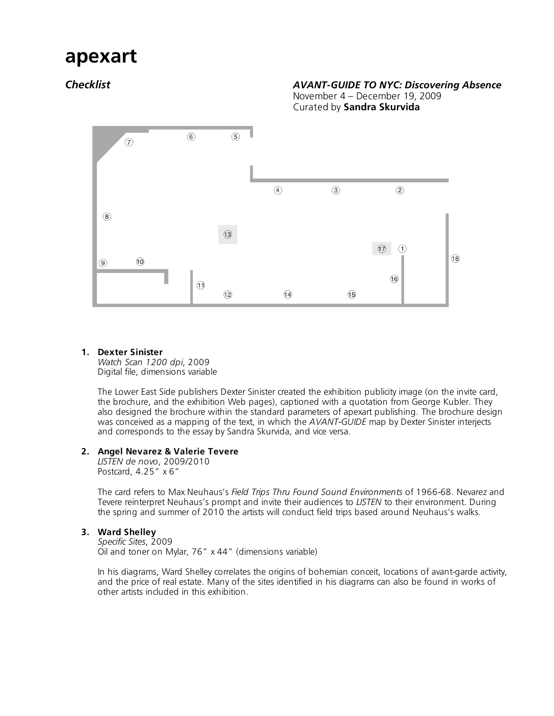# **apexart**

# *Checklist AVANT-GUIDE TO NYC: Discovering Absence*

November 4 – December 19, 2009 Curated by **Sandra Skurvida**



# **1. Dexter Sinister**

*Watch Scan 1200 dpi*, 2009 Digital file, dimensions variable

The Lower East Side publishers Dexter Sinister created the exhibition publicity image (on the invite card, the brochure, and the exhibition Web pages), captioned with a quotation from George Kubler. They also designed the brochure within the standard parameters of apexart publishing. The brochure design was conceived as a mapping of the text, in which the *AVANT-GUIDE* map by Dexter Sinister interjects and corresponds to the essay by Sandra Skurvida, and vice versa.

# **2. Angel Nevarez & Valerie Tevere**

*LISTEN de novo*, 2009/2010 Postcard, 4.25" x 6"

The card refers to Max Neuhaus's *Field Trips Thru Found Sound Environments* of 1966-68. Nevarez and Tevere reinterpret Neuhaus's prompt and invite their audiences to *LISTEN* to their environment. During the spring and summer of 2010 the artists will conduct field trips based around Neuhaus's walks.

# **3. Ward Shelley**

*Specific Sites*, 2009 Oil and toner on Mylar, 76" x 44" (dimensions variable)

In his diagrams, Ward Shelley correlates the origins of bohemian conceit, locations of avant-garde activity, and the price of real estate. Many of the sites identified in his diagrams can also be found in works of other artists included in this exhibition.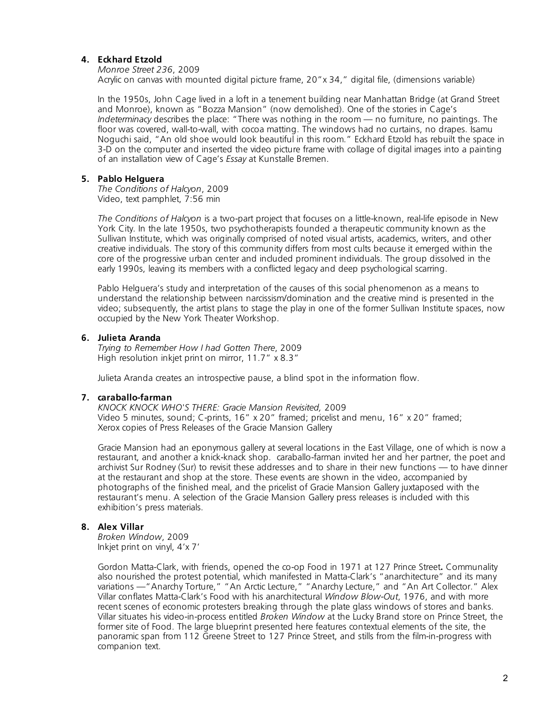# **4. Eckhard Etzold**

*Monroe Street 236*, 2009

Acrylic on canvas with mounted digital picture frame, 20"x 34," digital file, (dimensions variable)

In the 1950s, John Cage lived in a loft in a tenement building near Manhattan Bridge (at Grand Street and Monroe), known as "Bozza Mansion" (now demolished). One of the stories in Cage's *Indeterminacy* describes the place: "There was nothing in the room — no furniture, no paintings. The floor was covered, wall-to-wall, with cocoa matting. The windows had no curtains, no drapes. Isamu Noguchi said, "An old shoe would look beautiful in this room." Eckhard Etzold has rebuilt the space in 3-D on the computer and inserted the video picture frame with collage of digital images into a painting of an installation view of Cage's *Essay* at Kunstalle Bremen.

# **5. Pablo Helguera**

*The Conditions of Halcyon*, 2009 Video, text pamphlet,  $\overline{7:56}$  min

*The Conditions of Halcyon* is a two-part project that focuses on a little-known, real-life episode in New York City. In the late 1950s, two psychotherapists founded a therapeutic community known as the Sullivan Institute, which was originally comprised of noted visual artists, academics, writers, and other creative individuals. The story of this community differs from most cults because it emerged within the core of the progressive urban center and included prominent individuals. The group dissolved in the early 1990s, leaving its members with a conflicted legacy and deep psychological scarring.

Pablo Helguera's study and interpretation of the causes of this social phenomenon as a means to understand the relationship between narcissism/domination and the creative mind is presented in the video; subsequently, the artist plans to stage the play in one of the former Sullivan Institute spaces, now occupied by the New York Theater Workshop.

# **6. Julieta Aranda**

*Trying to Remember How I had Gotten There*, 2009 High resolution inkjet print on mirror, 11.7" x 8.3"

Julieta Aranda creates an introspective pause, a blind spot in the information flow.

# **7. caraballo-farman**

*KNOCK KNOCK WHO'S THERE: Gracie Mansion Revisited,* 2009 Video 5 minutes, sound; C-prints, 16" x 20" framed; pricelist and menu, 16" x 20" framed; Xerox copies of Press Releases of the Gracie Mansion Gallery

Gracie Mansion had an eponymous gallery at several locations in the East Village, one of which is now a restaurant, and another a knick-knack shop. caraballo-farman invited her and her partner, the poet and archivist Sur Rodney (Sur) to revisit these addresses and to share in their new functions — to have dinner at the restaurant and shop at the store. These events are shown in the video, accompanied by photographs of the finished meal, and the pricelist of Gracie Mansion Gallery juxtaposed with the restaurant's menu. A selection of the Gracie Mansion Gallery press releases is included with this exhibition's press materials.

# **8. Alex Villar**

*Broken Window*, 2009 Inkjet print on vinyl, 4'x 7'

Gordon Matta-Clark, with friends, opened the co-op Food in 1971 at 127 Prince Street**.** Communality also nourished the protest potential, which manifested in Matta-Clark's "anarchitecture" and its many variations —"Anarchy Torture," "An Arctic Lecture," "Anarchy Lecture," and "An Art Collector." Alex Villar conflates Matta-Clark's Food with his anarchitectural *Window Blow-Out*, 1976, and with more recent scenes of economic protesters breaking through the plate glass windows of stores and banks. Villar situates his video-in-process entitled *Broken Window* at the Lucky Brand store on Prince Street, the former site of Food. The large blueprint presented here features contextual elements of the site, the panoramic span from 112 Greene Street to 127 Prince Street, and stills from the film-in-progress with companion text.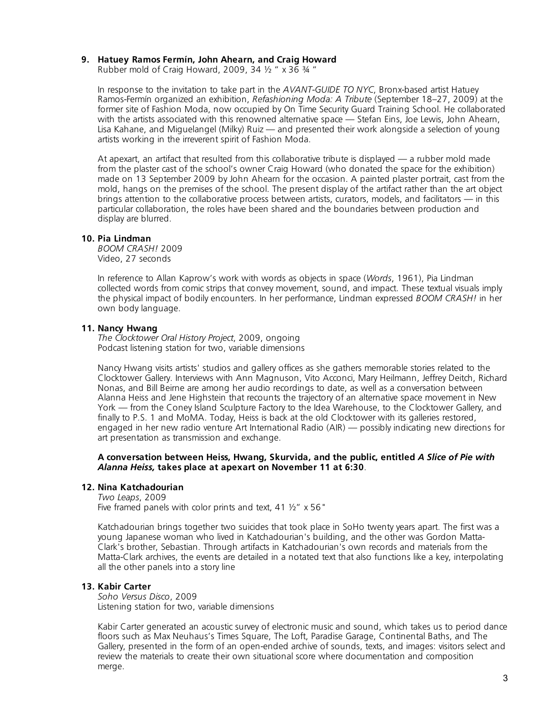# **9. Hatuey Ramos Fermín, John Ahearn, and Craig Howard**

Rubber mold of Craig Howard, 2009, 34 ½ " x 36 ¾ "

In response to the invitation to take part in the *AVANT-GUIDE TO NYC*, Bronx-based artist Hatuey Ramos-Fermín organized an exhibition, *Refashioning Moda: A Tribute* (September 18–27, 2009) at the former site of Fashion Moda, now occupied by On Time Security Guard Training School. He collaborated with the artists associated with this renowned alternative space — Stefan Eins, Joe Lewis, John Ahearn, Lisa Kahane, and Miguelangel (Milky) Ruiz — and presented their work alongside a selection of young artists working in the irreverent spirit of Fashion Moda.

At apexart, an artifact that resulted from this collaborative tribute is displayed — a rubber mold made from the plaster cast of the school's owner Craig Howard (who donated the space for the exhibition) made on 13 September 2009 by John Ahearn for the occasion. A painted plaster portrait, cast from the mold, hangs on the premises of the school. The present display of the artifact rather than the art object brings attention to the collaborative process between artists, curators, models, and facilitators — in this particular collaboration, the roles have been shared and the boundaries between production and display are blurred.

#### **10. Pia Lindman**

*BOOM CRASH!* 2009 Video, 27 seconds

In reference to Allan Kaprow's work with words as objects in space (*Words*, 1961), Pia Lindman collected words from comic strips that convey movement, sound, and impact. These textual visuals imply the physical impact of bodily encounters. In her performance, Lindman expressed *BOOM CRASH!* in her own body language.

#### **11. Nancy Hwang**

*The Clocktower Oral History Project*, 2009, ongoing Podcast listening station for two, variable dimensions

Nancy Hwang visits artists' studios and gallery offices as she gathers memorable stories related to the Clocktower Gallery. Interviews with Ann Magnuson, Vito Acconci, Mary Heilmann, Jeffrey Deitch, Richard Nonas, and Bill Beirne are among her audio recordings to date, as well as a conversation between Alanna Heiss and Jene Highstein that recounts the trajectory of an alternative space movement in New York — from the Coney Island Sculpture Factory to the Idea Warehouse, to the Clocktower Gallery, and finally to P.S. 1 and MoMA. Today, Heiss is back at the old Clocktower with its galleries restored, engaged in her new radio venture Art International Radio (AIR) — possibly indicating new directions for art presentation as transmission and exchange.

#### **A conversation between Heiss, Hwang, Skurvida, and the public, entitled** *A Slice of Pie with Alanna Heiss,* **takes place at apexart on November 11 at 6:30**.

# **12. Nina Katchadourian**

*Two Leaps*, 2009 Five framed panels with color prints and text, 41  $\frac{1}{2}$  x 56"

Katchadourian brings together two suicides that took place in SoHo twenty years apart. The first was a young Japanese woman who lived in Katchadourian's building, and the other was Gordon Matta-Clark's brother, Sebastian. Through artifacts in Katchadourian's own records and materials from the Matta-Clark archives, the events are detailed in a notated text that also functions like a key, interpolating all the other panels into a story line

# **13. Kabir Carter**

*Soho Versus Disco*, 2009 Listening station for two, variable dimensions

Kabir Carter generated an acoustic survey of electronic music and sound, which takes us to period dance floors such as Max Neuhaus's Times Square, The Loft, Paradise Garage, Continental Baths, and The Gallery, presented in the form of an open-ended archive of sounds, texts, and images: visitors select and review the materials to create their own situational score where documentation and composition merge.